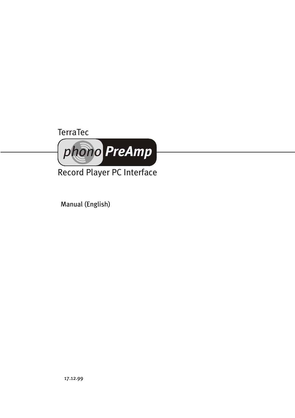# **TerraTec**



Record Player PC Interface

Manual (English)

17.12.99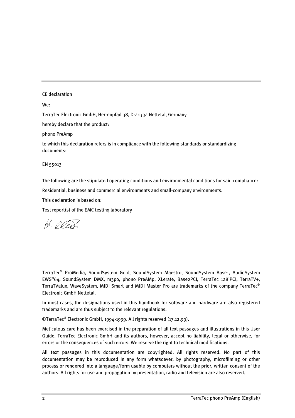#### CE declaration

We:

TerraTec Electronic GmbH, Herrenpfad 38, D-41334 Nettetal, Germany

hereby declare that the product:

phono PreAmp

to which this declaration refers is in compliance with the following standards or standardizing documents:

EN 55013

The following are the stipulated operating conditions and environmental conditions for said compliance:

Residential, business and commercial environments and small-company environments.

This declaration is based on:

Test report(s) of the EMC testing laboratory

 $H.$  Oles.

TerraTec® ProMedia, SoundSystem Gold, SoundSystem Maestro, SoundSystem Base1, AudioSystem EWS®64, SoundSystem DMX, m3po, phono PreAMp, XLerate, Base2PCI, TerraTec 128iPCI, TerraTV+, TerraTValue, WaveSystem, MIDI Smart and MIDI Master Pro are trademarks of the company TerraTec® Electronic GmbH Nettetal.

In most cases, the designations used in this handbook for software and hardware are also registered trademarks and are thus subject to the relevant regulations.

©TerraTec® Electronic GmbH, 1994-1999. All rights reserved (17.12.99).

Meticulous care has been exercised in the preparation of all text passages and illustrations in this User Guide. TerraTec Electronic GmbH and its authors, however, accept no liability, legal or otherwise, for errors or the consequences of such errors. We reserve the right to technical modifications.

All text passages in this documentation are copyrighted. All rights reserved. No part of this documentation may be reproduced in any form whatsoever, by photography, microfilming or other process or rendered into a language/form usable by computers without the prior, written consent of the authors. All rights for use and propagation by presentation, radio and television are also reserved.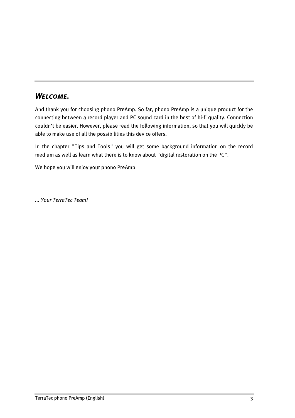### Welcome.

And thank you for choosing phono PreAmp. So far, phono PreAmp is a unique product for the connecting between a record player and PC sound card in the best of hi-fi quality. Connection couldn't be easier. However, please read the following information, so that you will quickly be able to make use of all the possibilities this device offers.

In the chapter "Tips and Tools" you will get some background information on the record medium as well as learn what there is to know about "digital restoration on the PC".

We hope you will enjoy your phono PreAmp

... Your TerraTec Team!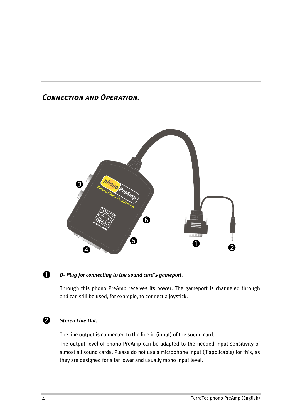### Connection and Operation.





### D- Plug for connecting to the sound card's gameport.

Through this phono PreAmp receives its power. The gameport is channeled through and can still be used, for example, to connect a joystick.

#### $\boldsymbol{\Omega}$ Stereo Line Out.

The line output is connected to the line in (input) of the sound card.

The output level of phono PreAmp can be adapted to the needed input sensitivity of almost all sound cards. Please do not use a microphone input (if applicable) for this, as they are designed for a far lower and usually mono input level.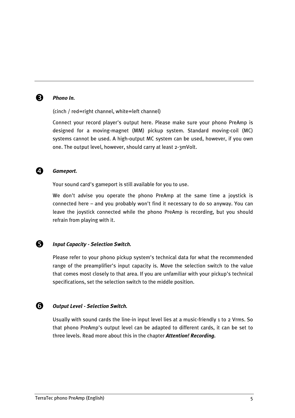

#### **R** Phono In.

(cinch / red=right channel, white=left channel)

Connect your record player's output here. Please make sure your phono PreAmp is designed for a moving-magnet (MM) pickup system. Standard moving-coil (MC) systems cannot be used. A high-output MC system can be used, however, if you own one. The output level, however, should carry at least 2-3mVolt.



#### **4** Gameport.

Your sound card's gameport is still available for you to use.

We don't advise you operate the phono PreAmp at the same time a joystick is connected here – and you probably won't find it necessary to do so anyway. You can leave the joystick connected while the phono PreAmp is recording, but you should refrain from playing with it.

#### **6** Input Capacity - Selection Switch.

Please refer to your phono pickup system's technical data for what the recommended range of the preamplifier's input capacity is. Move the selection switch to the value that comes most closely to that area. If you are unfamiliar with your pickup's technical specifications, set the selection switch to the middle position.

#### **G** Output Level - Selection Switch.

Usually with sound cards the line-in input level lies at a music-friendly 1 to 2 Vrms. So that phono PreAmp's output level can be adapted to different cards, it can be set to three levels. Read more about this in the chapter **[Attention! Recording.](#page-8-0)**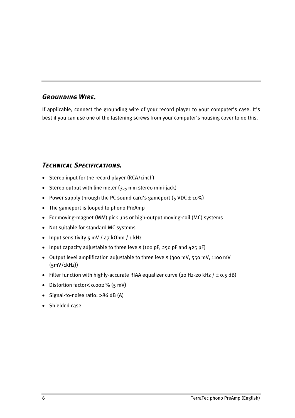### Grounding Wire.

If applicable, connect the grounding wire of your record player to your computer's case. It's best if you can use one of the fastening screws from your computer's housing cover to do this.

### Technical Specifications.

- Stereo input for the record player (RCA/cinch)
- Stereo output with line meter (3.5 mm stereo mini-jack)
- Power supply through the PC sound card's gameport (5 VDC  $\pm$  10%)
- The gameport is looped to phono PreAmp
- For moving-magnet (MM) pick ups or high-output moving-coil (MC) systems
- Not suitable for standard MC systems
- Input sensitivity  $5 \text{ mV}$  /  $47 \text{ kOhm}$  / 1 kHz
- Input capacity adjustable to three levels (100 pF, 250 pF and 425 pF)
- Output level amplification adjustable to three levels (300 mV, 550 mV, 1100 mV (5mV/1kHz))
- Filter function with highly-accurate RIAA equalizer curve (20 Hz-20 kHz  $/ \pm$  0.5 dB)
- Distortion factor< 0.002 % (5 mV)
- Signal-to-noise ratio: >86 dB (A)
- Shielded case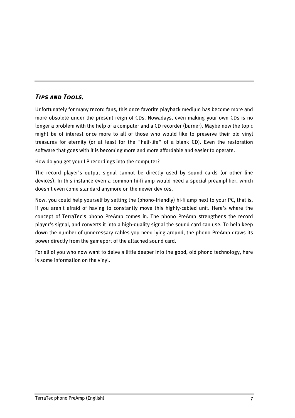### Tips and Tools.

Unfortunately for many record fans, this once favorite playback medium has become more and more obsolete under the present reign of CDs. Nowadays, even making your own CDs is no longer a problem with the help of a computer and a CD recorder (burner). Maybe now the topic might be of interest once more to all of those who would like to preserve their old vinyl treasures for eternity (or at least for the "half-life" of a blank CD). Even the restoration software that goes with it is becoming more and more affordable and easier to operate.

How do you get your LP recordings into the computer?

The record player's output signal cannot be directly used by sound cards (or other line devices). In this instance even a common hi-fi amp would need a special preamplifier, which doesn't even come standard anymore on the newer devices.

Now, you could help yourself by setting the (phono-friendly) hi-fi amp next to your PC, that is, if you aren't afraid of having to constantly move this highly-cabled unit. Here's where the concept of TerraTec's phono PreAmp comes in. The phono PreAmp strengthens the record player's signal, and converts it into a high-quality signal the sound card can use. To help keep down the number of unnecessary cables you need lying around, the phono PreAmp draws its power directly from the gameport of the attached sound card.

For all of you who now want to delve a little deeper into the good, old phono technology, here is some information on the vinyl.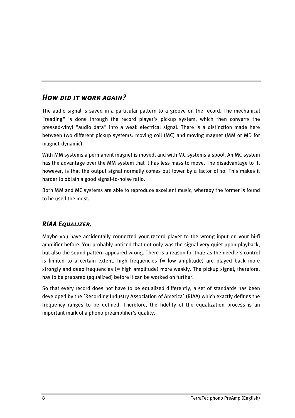## HOW DID IT WORK AGAIN?

The audio signal is saved in a particular pattern to a groove on the record. The mechanical "reading" is done through the record player's pickup system, which then converts the pressed-vinyl "audio data" into a weak electrical signal. There is a distinction made here between two different pickup systems: moving coil (MC) and moving magnet (MM or MD for magnet-dynamic).

With MM systems a permanent magnet is moved, and with MC systems a spool. An MC system has the advantage over the MM system that it has less mass to move. The disadvantage to it, however, is that the output signal normally comes out lower by a factor of 10. This makes it harder to obtain a good signal-to-noise ratio.

Both MM and MC systems are able to reproduce excellent music, whereby the former is found to be used the most.

### RIAA Equalizer.

Maybe you have accidentally connected your record player to the wrong input on your hi-fi amplifier before. You probably noticed that not only was the signal very quiet upon playback, but also the sound pattern appeared wrong. There is a reason for that: as the needle's control is limited to a certain extent, high frequencies  $(=$  low amplitude) are played back more strongly and deep frequencies (= high amplitude) more weakly. The pickup signal, therefore, has to be prepared (equalized) before it can be worked on further.

So that every record does not have to be equalized differently, a set of standards has been developed by the ´Recording Industry Association of America´ (RIAA) which exactly defines the frequency ranges to be defined. Therefore, the fidelity of the equalization process is an important mark of a phono preamplifier's quality.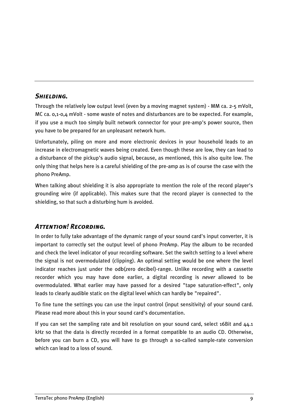#### <span id="page-8-0"></span>SHIELDING.

Through the relatively low output level (even by a moving magnet system) - MM ca. 2-5 mVolt, MC ca. 0,1-0,4 mVolt - some waste of notes and disturbances are to be expected. For example, if you use a much too simply built network connector for your pre-amp's power source, then you have to be prepared for an unpleasant network hum.

Unfortunately, piling on more and more electronic devices in your household leads to an increase in electromagnetic waves being created. Even though these are low, they can lead to a disturbance of the pickup's audio signal, because, as mentioned, this is also quite low. The only thing that helps here is a careful shielding of the pre-amp as is of course the case with the phono PreAmp.

When talking about shielding it is also appropriate to mention the role of the record player's grounding wire (if applicable). This makes sure that the record player is connected to the shielding, so that such a disturbing hum is avoided.

#### Attention! Recording.

In order to fully take advantage of the dynamic range of your sound card's input converter, it is important to correctly set the output level of phono PreAmp. Play the album to be recorded and check the level indicator of your recording software. Set the switch setting to a level where the signal is not overmodulated (clipping). An optimal setting would be one where the level indicator reaches just under the 0db(zero decibel)-range. Unlike recording with a cassette recorder which you may have done earlier, a digital recording is never allowed to be overmodulated. What earlier may have passed for a desired "tape saturation-effect", only leads to clearly audible static on the digital level which can hardly be "repaired".

To fine tune the settings you can use the input control (input sensitivity) of your sound card. Please read more about this in your sound card's documentation.

If you can set the sampling rate and bit resolution on your sound card, select 16Bit and 44.1 kHz so that the data is directly recorded in a format compatible to an audio CD. Otherwise, before you can burn a CD, you will have to go through a so-called sample-rate conversion which can lead to a loss of sound.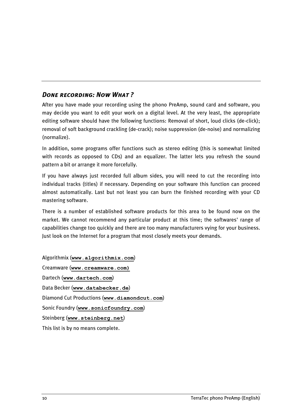### DONE RECORDING: NOW WHAT?

After you have made your recording using the phono PreAmp, sound card and software, you may decide you want to edit your work on a digital level. At the very least, the appropriate editing software should have the following functions: Removal of short, loud clicks (de-click); removal of soft background crackling (de-crack); noise suppression (de-noise) and normalizing (normalize).

In addition, some programs offer functions such as stereo editing (this is somewhat limited with records as opposed to CDs) and an equalizer. The latter lets you refresh the sound pattern a bit or arrange it more forcefully.

If you have always just recorded full album sides, you will need to cut the recording into individual tracks (titles) if necessary. Depending on your software this function can proceed almost automatically. Last but not least you can burn the finished recording with your CD mastering software.

There is a number of established software products for this area to be found now on the market. We cannot recommend any particular product at this time; the softwares' range of capabilities change too quickly and there are too many manufacturers vying for your business. Just look on the Internet for a program that most closely meets your demands.

Algorithmix ([www.algorithmix.com](http://www.algorithmix.com/)) Creamware ([www.creamware.com\)](http://www.creamware.com/) Dartech ([www.dartech.com](http://www.dartech.com/)) Data Becker ([www.databecker.de](http://www.dartech.com/)) Diamond Cut Productions ([www.diamondcut.com](http://www.diamondcut.com/)) Sonic Foundry ([www.sonicfoundry.com](http://www.sonicfoundry.com/)) Steinberg ([www.steinberg.net](http://www.steinberg.net/)) This list is by no means complete.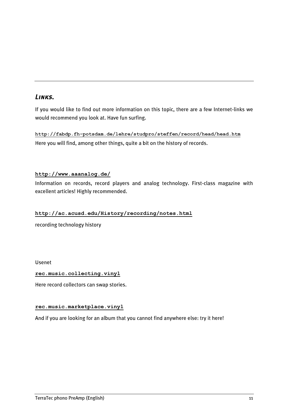### Links.

If you would like to find out more information on this topic, there are a few Internet-links we would recommend you look at. Have fun surfing.

<http://fabdp.fh-potsdam.de/lehre/studpro/steffen/record/head/head.htm> Here you will find, among other things, quite a bit on the history of records.

#### <http://www.aaanalog.de/>

Information on records, record players and analog technology. First-class magazine with excellent articles! Highly recommended.

#### <http://ac.acusd.edu/History/recording/notes.html>

recording technology history

Usenet

#### [rec.music.collecting.vinyl](news:rec.music.collecting.vinyl)

Here record collectors can swap stories.

#### [rec.music.marketplace.vinyl](news:rec.music.marketplace.vinyl)

And if you are looking for an album that you cannot find anywhere else: try it here!